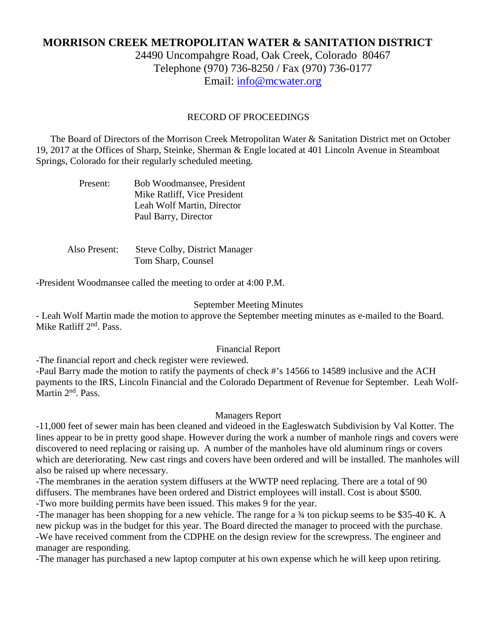# **MORRISON CREEK METROPOLITAN WATER & SANITATION DISTRICT**

24490 Uncompahgre Road, Oak Creek, Colorado 80467 Telephone (970) 736-8250 / Fax (970) 736-0177 Email: [info@mcwater.org](mailto:info@mcwater.org)

### RECORD OF PROCEEDINGS

 The Board of Directors of the Morrison Creek Metropolitan Water & Sanitation District met on October 19, 2017 at the Offices of Sharp, Steinke, Sherman & Engle located at 401 Lincoln Avenue in Steamboat Springs, Colorado for their regularly scheduled meeting.

| Present: | Bob Woodmansee, President    |
|----------|------------------------------|
|          | Mike Ratliff, Vice President |
|          | Leah Wolf Martin, Director   |
|          | Paul Barry, Director         |

 Also Present: Steve Colby, District Manager Tom Sharp, Counsel

-President Woodmansee called the meeting to order at 4:00 P.M.

#### September Meeting Minutes

- Leah Wolf Martin made the motion to approve the September meeting minutes as e-mailed to the Board. Mike Ratliff 2<sup>nd</sup>. Pass.

### Financial Report

-The financial report and check register were reviewed.

-Paul Barry made the motion to ratify the payments of check #'s 14566 to 14589 inclusive and the ACH payments to the IRS, Lincoln Financial and the Colorado Department of Revenue for September. Leah Wolf-Martin 2<sup>nd</sup>. Pass.

#### Managers Report

-11,000 feet of sewer main has been cleaned and videoed in the Eagleswatch Subdivision by Val Kotter. The lines appear to be in pretty good shape. However during the work a number of manhole rings and covers were discovered to need replacing or raising up. A number of the manholes have old aluminum rings or covers which are deteriorating. New cast rings and covers have been ordered and will be installed. The manholes will also be raised up where necessary.

-The membranes in the aeration system diffusers at the WWTP need replacing. There are a total of 90 diffusers. The membranes have been ordered and District employees will install. Cost is about \$500. -Two more building permits have been issued. This makes 9 for the year.

-The manager has been shopping for a new vehicle. The range for a ¾ ton pickup seems to be \$35-40 K. A new pickup was in the budget for this year. The Board directed the manager to proceed with the purchase. -We have received comment from the CDPHE on the design review for the screwpress. The engineer and manager are responding.

-The manager has purchased a new laptop computer at his own expense which he will keep upon retiring.